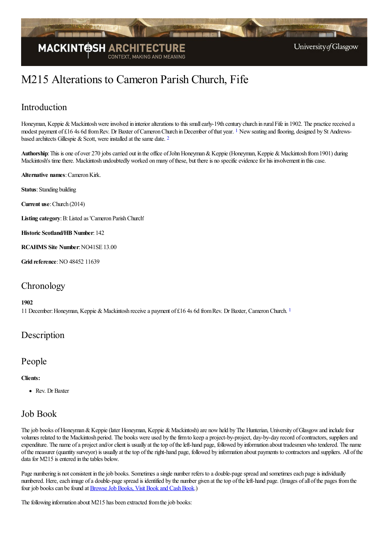

# M215 Alterations to Cameron Parish Church, Fife

# Introduction

<span id="page-0-0"></span>Honeyman, Keppie & Mackintosh were involved in interior alterations to this small early-19th century church in rural Fife in 1902. The practice received a modest payment of £[1](#page-1-0)6 4s 6d from Rev. Dr Baxter of Cameron Church in December of that year. <sup>1</sup> New seating and flooring, designed by St Andrewsbased architects Gillespie & Scott, were installed at the same date.  $2$ 

<span id="page-0-1"></span>**Authorship**: This is one of over 270 jobs carried out in the office of John Honeyman & Keppie (Honeyman, Keppie & Mackintosh from 1901) during Mackintosh's time there. Mackintosh undoubtedly worked on many of these, but there is no specific evidence for his involvement in this case.

**Alternative names: Cameron Kirk.** 

**Status**: Standing building

**Current use**:Church (2014)

**Listing category**:B:Listed as 'Cameron ParishChurch'

**Historic Scotland/HB Number**: 142

**RCAHMS Site Number**:NO41SE 13.00

**Grid reference: NO 48452 11639** 

### **Chronology**

#### <span id="page-0-2"></span>**1902**

[1](#page-1-2)1 December: Honeyman, Keppie & Mackintosh receive a payment of £16 4s 6d from Rev. Dr Baxter, Cameron Church. 1

### Description

### People

#### **Clients:**

Rev. Dr Baxter

### Job Book

The job books of Honeyman & Keppie (later Honeyman, Keppie & Mackintosh) are now held by The Hunterian, University of Glasgow and include four volumes related to the Mackintosh period. The books were used by the firm to keep a project-by-project, day-by-day record of contractors, suppliers and expenditure. The name of a project and/or client is usually at the top of the left-hand page, followed by information about tradesmen who tendered. The name ofthe measurer (quantity surveyor) is usually at thetop oftheright-hand page, followed by information about payments to contractorsand suppliers. All ofthe data for M215 is entered in the tables below.

Page numbering is not consistent in the job books. Sometimes a single number refers to a double-page spread and sometimes each page is individually numbered. Here, each image of a double-page spread is identified by the number given at the top of the left-hand page. (Images of all of the pages from the four job books can be found at Browse Job Books, Visit Book and Cash Book.)

The following information about M215 has been extracted from the job books: